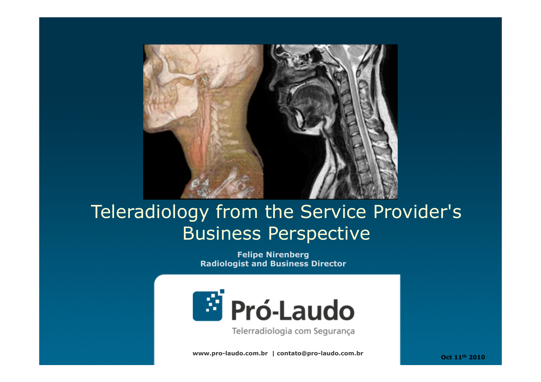

# Teleradiology from the Service Provider's Business Perspective

**Felipe Nirenberg Radiologist and Business Director** 



Telerradiologia com Segurança

**www.pro-laudo.com.br | contato@pro-laudo.com.br** 

 **Oct 11th 2010**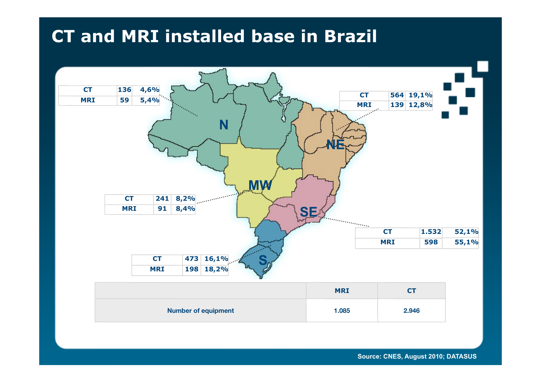# **CT and MRI installed base in Brazil**



**Source: CNES, August 2010; DATASUS**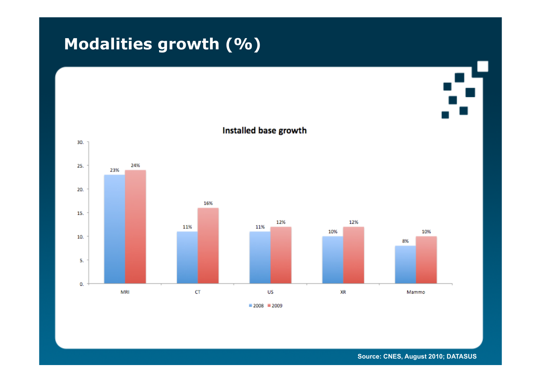# **Modalities growth (%)**



**Source: CNES, August 2010; DATASUS**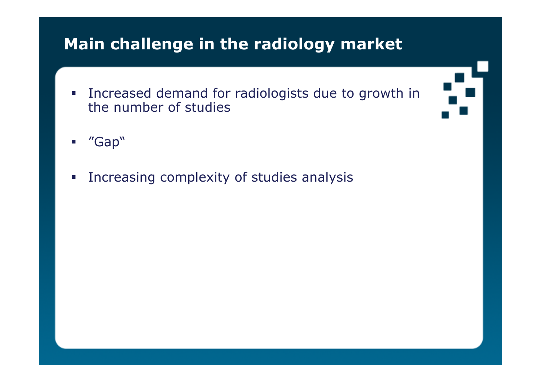# **Main challenge in the radiology market**

- **Increased demand for radiologists due to growth in** the number of studies
- 

- "Gap"
- **Increasing complexity of studies analysis**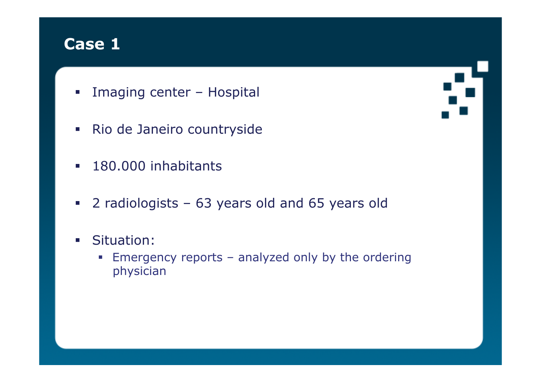- **Imaging center Hospital**
- Rio de Janeiro countryside
- **180.000 inhabitants**
- 2 radiologists 63 years old and 65 years old
- **Situation:** 
	- Emergency reports analyzed only by the ordering physician

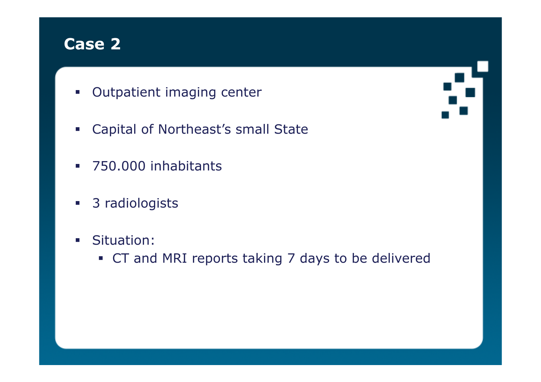- **Outpatient imaging center**
- **Example 2 Capital of Northeast's small State**
- **750.000 inhabitants**
- 3 radiologists
- **Situation:** 
	- CT and MRI reports taking 7 days to be delivered

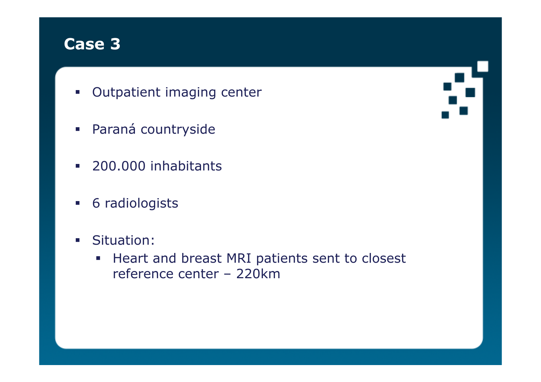- **Outpatient imaging center**
- **Paraná countryside**
- **200.000 inhabitants**
- **6 radiologists**
- **Situation:** 
	- **Heart and breast MRI patients sent to closest** reference center – 220km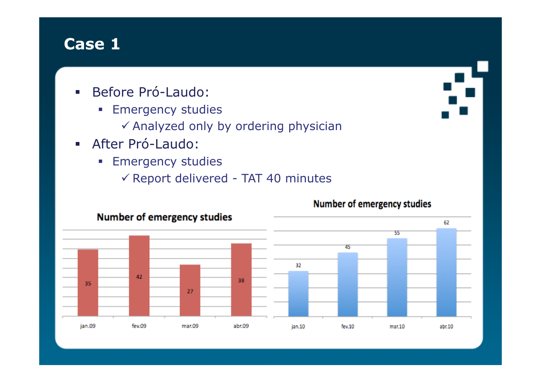- **Before Pró-Laudo:** 
	- **Emergency studies** 
		- $\checkmark$  Analyzed only by ordering physician
- After Pró-Laudo:
	- **Emergency studies** 
		- $\checkmark$  Report delivered TAT 40 minutes



#### Number of emergency studies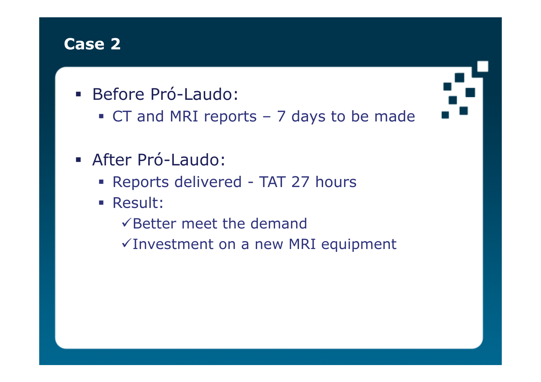- Before Pró-Laudo:
	- CT and MRI reports 7 days to be made
- After Pró-Laudo:
	- Reports delivered TAT 27 hours
	- Result:
		- $\checkmark$  Better meet the demand
		- $\checkmark$  Investment on a new MRI equipment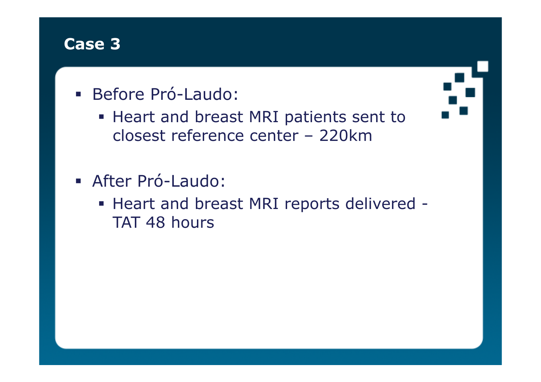- Before Pró-Laudo:
	- **Heart and breast MRI patients sent to** closest reference center – 220km
- After Pró-Laudo:
	- Heart and breast MRI reports delivered TAT 48 hours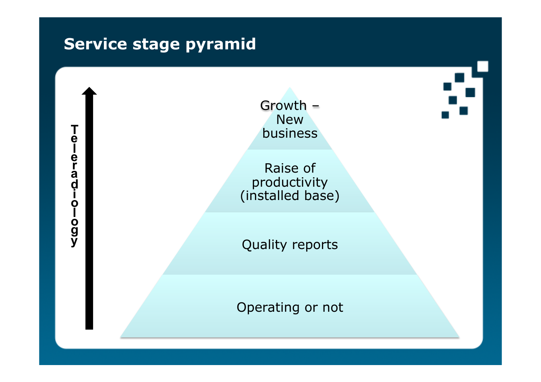# **Service stage pyramid**

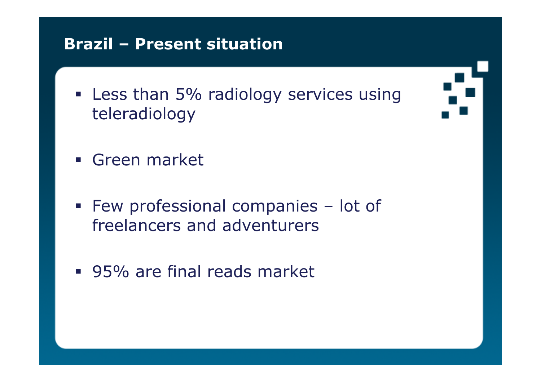# **Brazil – Present situation**

**Example 1 Less than 5% radiology services using** teleradiology

- **Green market**
- **Few professional companies lot of** freelancers and adventurers
- 95% are final reads market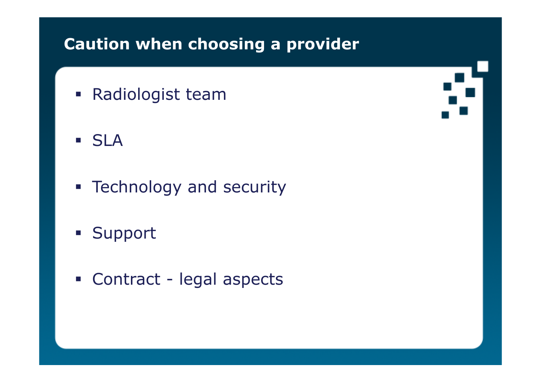# **Caution when choosing a provider**

- Radiologist team
- SLA
- **F** Technology and security
- **Support**
- Contract legal aspects